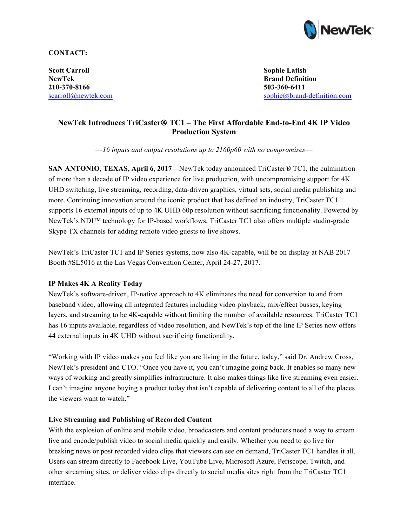

# **CONTACT:**

**Scott Carroll Sophie Latish NewTek Brand Definition 210-370-8166 503-360-6411**

[scarroll@newtek.com](mailto:scarroll@newtek.com) [sophie@brand-definition.com](mailto:sophie@brand-definition.com)

# **NewTek Introduces TriCaster**® **TC1 – The First Affordable End-to-End 4K IP Video Production System**

*––16 inputs and output resolutions up to 2160p60 with no compromises––*

**SAN ANTONIO, TEXAS, April 6, 2017—NewTek today announced TriCaster<sup>®</sup> TC1, the culmination** of more than a decade of IP video experience for live production, with uncompromising support for 4K UHD switching, live streaming, recording, data-driven graphics, virtual sets, social media publishing and more. Continuing innovation around the iconic product that has defined an industry, TriCaster TC1 supports 16 external inputs of up to 4K UHD 60p resolution without sacrificing functionality. Powered by NewTek's NDI™ technology for IP-based workflows, TriCaster TC1 also offers multiple studio-grade Skype TX channels for adding remote video guests to live shows.

NewTek's TriCaster TC1 and IP Series systems, now also 4K-capable, will be on display at NAB 2017 Booth #SL5016 at the Las Vegas Convention Center, April 24-27, 2017.

# **IP Makes 4K A Reality Today**

NewTek's software-driven, IP-native approach to 4K eliminates the need for conversion to and from baseband video, allowing all integrated features including video playback, mix/effect busses, keying layers, and streaming to be 4K-capable without limiting the number of available resources. TriCaster TC1 has 16 inputs available, regardless of video resolution, and NewTek's top of the line IP Series now offers 44 external inputs in 4K UHD without sacrificing functionality.

"Working with IP video makes you feel like you are living in the future, today," said Dr. Andrew Cross, NewTek's president and CTO. "Once you have it, you can't imagine going back. It enables so many new ways of working and greatly simplifies infrastructure. It also makes things like live streaming even easier. I can't imagine anyone buying a product today that isn't capable of delivering content to all of the places the viewers want to watch."

# **Live Streaming and Publishing of Recorded Content**

With the explosion of online and mobile video, broadcasters and content producers need a way to stream live and encode/publish video to social media quickly and easily. Whether you need to go live for breaking news or post recorded video clips that viewers can see on demand, TriCaster TC1 handles it all. Users can stream directly to Facebook Live, YouTube Live, Microsoft Azure, Periscope, Twitch, and other streaming sites, or deliver video clips directly to social media sites right from the TriCaster TC1 interface.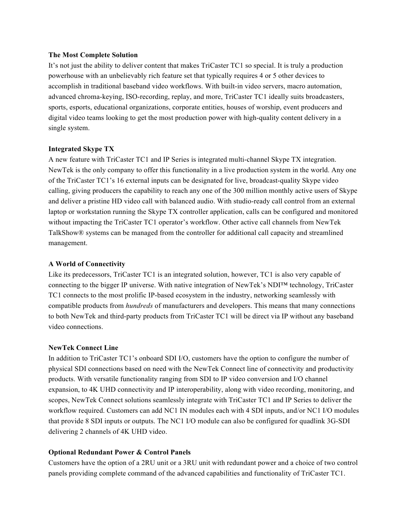#### **The Most Complete Solution**

It's not just the ability to deliver content that makes TriCaster TC1 so special. It is truly a production powerhouse with an unbelievably rich feature set that typically requires 4 or 5 other devices to accomplish in traditional baseband video workflows. With built-in video servers, macro automation, advanced chroma-keying, ISO-recording, replay, and more, TriCaster TC1 ideally suits broadcasters, sports, esports, educational organizations, corporate entities, houses of worship, event producers and digital video teams looking to get the most production power with high-quality content delivery in a single system.

#### **Integrated Skype TX**

A new feature with TriCaster TC1 and IP Series is integrated multi-channel Skype TX integration. NewTek is the only company to offer this functionality in a live production system in the world. Any one of the TriCaster TC1's 16 external inputs can be designated for live, broadcast-quality Skype video calling, giving producers the capability to reach any one of the 300 million monthly active users of Skype and deliver a pristine HD video call with balanced audio. With studio-ready call control from an external laptop or workstation running the Skype TX controller application, calls can be configured and monitored without impacting the TriCaster TC1 operator's workflow. Other active call channels from NewTek TalkShow® systems can be managed from the controller for additional call capacity and streamlined management.

#### **A World of Connectivity**

Like its predecessors, TriCaster TC1 is an integrated solution, however, TC1 is also very capable of connecting to the bigger IP universe. With native integration of NewTek's NDI™ technology, TriCaster TC1 connects to the most prolific IP-based ecosystem in the industry, networking seamlessly with compatible products from *hundreds* of manufacturers and developers. This means that many connections to both NewTek and third-party products from TriCaster TC1 will be direct via IP without any baseband video connections.

# **NewTek Connect Line**

In addition to TriCaster TC1's onboard SDI I/O, customers have the option to configure the number of physical SDI connections based on need with the NewTek Connect line of connectivity and productivity products. With versatile functionality ranging from SDI to IP video conversion and I/O channel expansion, to 4K UHD connectivity and IP interoperability, along with video recording, monitoring, and scopes, NewTek Connect solutions seamlessly integrate with TriCaster TC1 and IP Series to deliver the workflow required. Customers can add NC1 IN modules each with 4 SDI inputs, and/or NC1 I/O modules that provide 8 SDI inputs or outputs. The NC1 I/O module can also be configured for quadlink 3G-SDI delivering 2 channels of 4K UHD video.

# **Optional Redundant Power & Control Panels**

Customers have the option of a 2RU unit or a 3RU unit with redundant power and a choice of two control panels providing complete command of the advanced capabilities and functionality of TriCaster TC1.